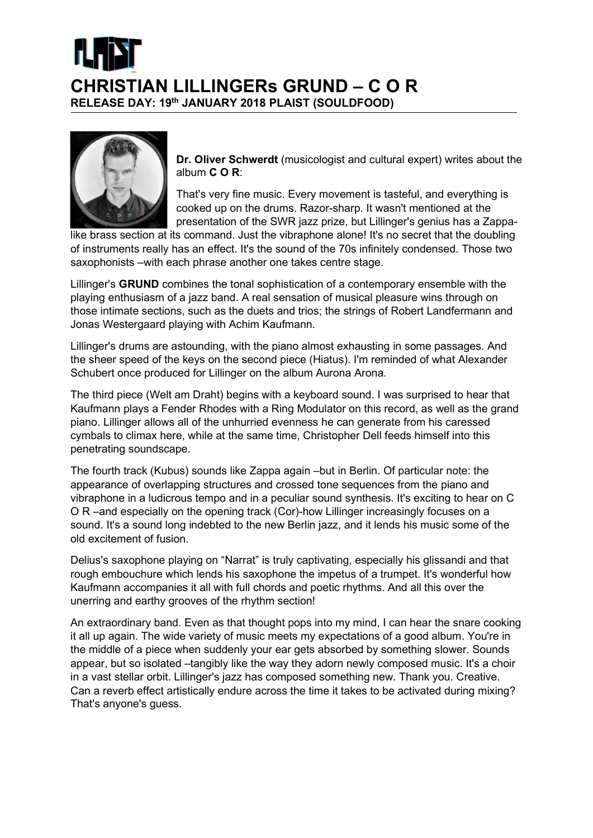



Dr. Oliver Schwerdt (musicologist and cultural expert) writes about the album C O R:

That's very fine music. Every movement is tasteful, and everything is cooked up on the drums. Razor-sharp. It wasn't mentioned at the presentation of the SWR jazz prize, but Lillinger's genius has a Zappa-

like brass section at its command. Just the vibraphone alone! It's no secret that the doubling of instruments really has an effect. It's the sound of the 70s infinitely condensed. Those two saxophonists –with each phrase another one takes centre stage.

Lillinger's GRUND combines the tonal sophistication of a contemporary ensemble with the playing enthusiasm of a jazz band. A real sensation of musical pleasure wins through on those intimate sections, such as the duets and trios; the strings of Robert Landfermann and Jonas Westergaard playing with Achim Kaufmann.

Lillinger's drums are astounding, with the piano almost exhausting in some passages. And the sheer speed of the keys on the second piece (Hiatus). I'm reminded of what Alexander Schubert once produced for Lillinger on the album Aurona Arona.

The third piece (Welt am Draht) begins with a keyboard sound. I was surprised to hear that Kaufmann plays a Fender Rhodes with a Ring Modulator on this record, as well as the grand piano. Lillinger allows all of the unhurried evenness he can generate from his caressed cymbals to climax here, while at the same time, Christopher Dell feeds himself into this penetrating soundscape.

The fourth track (Kubus) sounds like Zappa again –but in Berlin. Of particular note: the appearance of overlapping structures and crossed tone sequences from the piano and vibraphone in a ludicrous tempo and in a peculiar sound synthesis. It's exciting to hear on C O R –and especially on the opening track (Cor)-how Lillinger increasingly focuses on a sound. It's a sound long indebted to the new Berlin jazz, and it lends his music some of the old excitement of fusion.

Delius's saxophone playing on "Narrat" is truly captivating, especially his glissandi and that rough embouchure which lends his saxophone the impetus of a trumpet. It's wonderful how Kaufmann accompanies it all with full chords and poetic rhythms. And all this over the unerring and earthy grooves of the rhythm section!

An extraordinary band. Even as that thought pops into my mind, I can hear the snare cooking it all up again. The wide variety of music meets my expectations of a good album. You're in the middle of a piece when suddenly your ear gets absorbed by something slower. Sounds appear, but so isolated –tangibly like the way they adorn newly composed music. It's a choir in a vast stellar orbit. Lillinger's jazz has composed something new. Thank you. Creative. Can a reverb effect artistically endure across the time it takes to be activated during mixing? That's anyone's guess.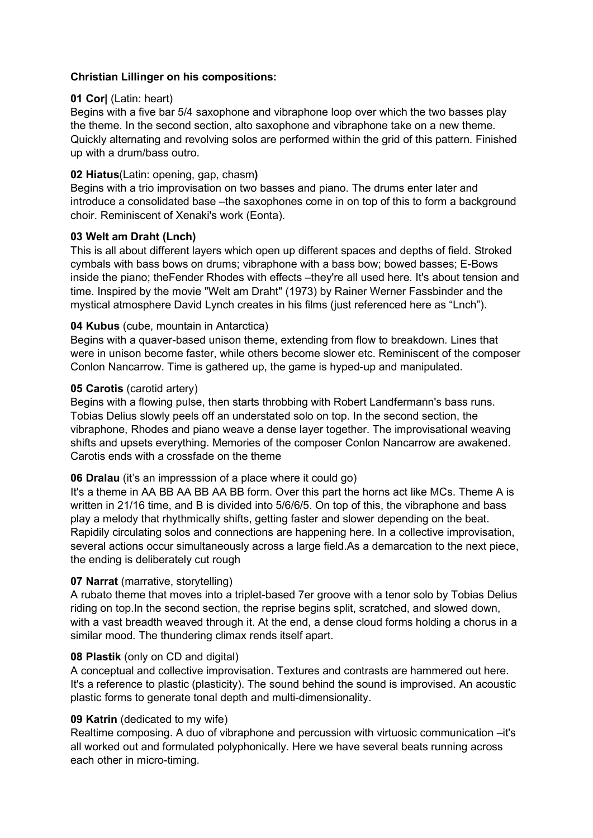# Christian Lillinger on his compositions:

## 01 Cor| (Latin: heart)

Begins with a five bar 5/4 saxophone and vibraphone loop over which the two basses play the theme. In the second section, alto saxophone and vibraphone take on a new theme. Quickly alternating and revolving solos are performed within the grid of this pattern. Finished up with a drum/bass outro.

### 02 Hiatus(Latin: opening, gap, chasm)

Begins with a trio improvisation on two basses and piano. The drums enter later and introduce a consolidated base –the saxophones come in on top of this to form a background choir. Reminiscent of Xenaki's work (Eonta).

### 03 Welt am Draht (Lnch)

This is all about different layers which open up different spaces and depths of field. Stroked cymbals with bass bows on drums; vibraphone with a bass bow; bowed basses; E-Bows inside the piano; theFender Rhodes with effects –they're all used here. It's about tension and time. Inspired by the movie "Welt am Draht" (1973) by Rainer Werner Fassbinder and the mystical atmosphere David Lynch creates in his films (just referenced here as "Lnch").

### 04 Kubus (cube, mountain in Antarctica)

Begins with a quaver-based unison theme, extending from flow to breakdown. Lines that were in unison become faster, while others become slower etc. Reminiscent of the composer Conlon Nancarrow. Time is gathered up, the game is hyped-up and manipulated.

### 05 Carotis (carotid artery)

Begins with a flowing pulse, then starts throbbing with Robert Landfermann's bass runs. Tobias Delius slowly peels off an understated solo on top. In the second section, the vibraphone, Rhodes and piano weave a dense layer together. The improvisational weaving shifts and upsets everything. Memories of the composer Conlon Nancarrow are awakened. Carotis ends with a crossfade on the theme

## 06 Dralau (it's an impresssion of a place where it could go)

It's a theme in AA BB AA BB AA BB form. Over this part the horns act like MCs. Theme A is written in 21/16 time, and B is divided into 5/6/6/5. On top of this, the vibraphone and bass play a melody that rhythmically shifts, getting faster and slower depending on the beat. Rapidily circulating solos and connections are happening here. In a collective improvisation, several actions occur simultaneously across a large field.As a demarcation to the next piece, the ending is deliberately cut rough

#### 07 Narrat (marrative, storytelling)

A rubato theme that moves into a triplet-based 7er groove with a tenor solo by Tobias Delius riding on top.In the second section, the reprise begins split, scratched, and slowed down, with a vast breadth weaved through it. At the end, a dense cloud forms holding a chorus in a similar mood. The thundering climax rends itself apart.

#### 08 Plastik (only on CD and digital)

A conceptual and collective improvisation. Textures and contrasts are hammered out here. It's a reference to plastic (plasticity). The sound behind the sound is improvised. An acoustic plastic forms to generate tonal depth and multi-dimensionality.

## 09 Katrin (dedicated to my wife)

Realtime composing. A duo of vibraphone and percussion with virtuosic communication –it's all worked out and formulated polyphonically. Here we have several beats running across each other in micro-timing.